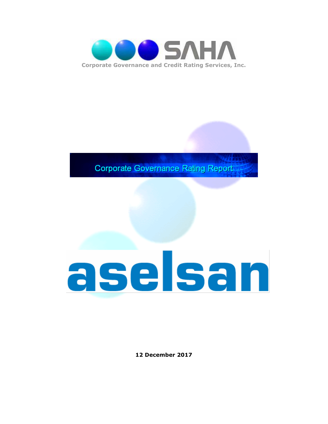

**Corporate Governance Rating Report** 

# aselsan

**12 December 2017**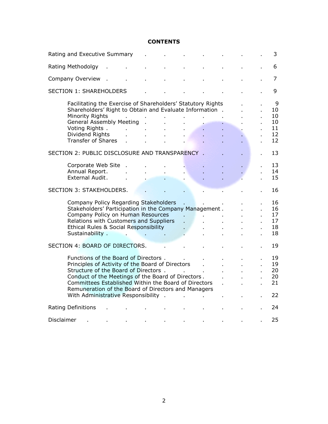#### **CONTENTS**

|                                | Rating and Executive Summary                                                                                                                                                                                                                                                                                                                   |  |    |    |  |    |  |  | 3                                     |
|--------------------------------|------------------------------------------------------------------------------------------------------------------------------------------------------------------------------------------------------------------------------------------------------------------------------------------------------------------------------------------------|--|----|----|--|----|--|--|---------------------------------------|
|                                | Rating Methodolgy                                                                                                                                                                                                                                                                                                                              |  |    |    |  |    |  |  | 6                                     |
|                                | Company Overview                                                                                                                                                                                                                                                                                                                               |  |    |    |  |    |  |  | 7                                     |
|                                | <b>SECTION 1: SHAREHOLDERS</b>                                                                                                                                                                                                                                                                                                                 |  |    |    |  |    |  |  | 9                                     |
|                                | Facilitating the Exercise of Shareholders' Statutory Rights<br>Shareholders' Right to Obtain and Evaluate Information.<br>Minority Rights<br><b>General Assembly Meeting</b><br>Voting Rights.<br>Dividend Rights<br><b>Transfer of Shares</b>                                                                                                 |  |    |    |  |    |  |  | 9<br>10<br>10<br>10<br>11<br>12<br>12 |
|                                | SECTION 2: PUBLIC DISCLOSURE AND TRANSPARENCY .                                                                                                                                                                                                                                                                                                |  |    |    |  |    |  |  | 13                                    |
|                                | Corporate Web Site<br>Annual Report.<br>External Audit.                                                                                                                                                                                                                                                                                        |  |    |    |  |    |  |  | 13<br>14<br>15                        |
|                                | <b>SECTION 3: STAKEHOLDERS.</b>                                                                                                                                                                                                                                                                                                                |  |    |    |  |    |  |  | 16                                    |
|                                | Company Policy Regarding Stakeholders<br>Stakeholders' Participation in the Company Management.<br>Company Policy on Human Resources<br>Relations with Customers and Suppliers<br>Ethical Rules & Social Responsibility<br>Sustainability .                                                                                                    |  | ä, | ¥. |  |    |  |  | 16<br>16<br>17<br>17<br>18<br>18      |
| SECTION 4: BOARD OF DIRECTORS. |                                                                                                                                                                                                                                                                                                                                                |  |    |    |  | 19 |  |  |                                       |
|                                | Functions of the Board of Directors.<br>Principles of Activity of the Board of Directors<br>Structure of the Board of Directors .<br>Conduct of the Meetings of the Board of Directors.<br>Committees Established Within the Board of Directors<br>Remuneration of the Board of Directors and Managers<br>With Administrative Responsibility . |  |    |    |  |    |  |  | 19<br>19<br>20<br>20<br>21<br>22      |
|                                | <b>Rating Definitions</b>                                                                                                                                                                                                                                                                                                                      |  |    |    |  |    |  |  | 24                                    |
| Disclaimer                     |                                                                                                                                                                                                                                                                                                                                                |  |    |    |  |    |  |  | 25                                    |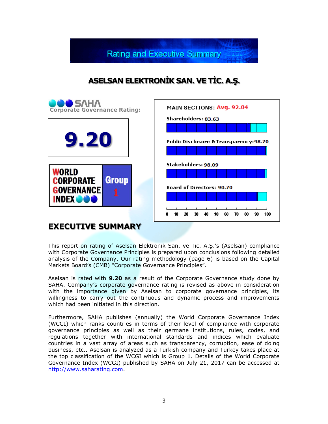**Rating and Executive Summary** 

## **ASELSAN ELEKTRONİK SAN. VE TİC. A.Ş.**



### **EXECUTIVE SUMMARY**

This report on rating of Aselsan Elektronik San. ve Tic. A.Ş.'s (Aselsan) compliance with Corporate Governance Principles is prepared upon conclusions following detailed analysis of the Company. Our rating methodology (page 6) is based on the Capital Markets Board's (CMB) "Corporate Governance Principles".

Aselsan is rated with **9.20** as a result of the Corporate Governance study done by SAHA. Company's corporate governance rating is revised as above in consideration with the importance given by Aselsan to corporate governance principles, its willingness to carry out the continuous and dynamic process and improvements which had been initiated in this direction.

Furthermore, SAHA publishes (annually) the World Corporate Governance Index (WCGI) which ranks countries in terms of their level of compliance with corporate governance principles as well as their germane institutions, rules, codes, and regulations together with international standards and indices which evaluate countries in a vast array of areas such as transparency, corruption, ease of doing business, etc.. Aselsan is analyzed as a Turkish company and Turkey takes place at the top classification of the WCGI which is Group 1. Details of the World Corporate Governance Index (WCGI) published by SAHA on July 21, 2017 can be accessed at [http://www.saharating.com.](http://www.saharating.com/)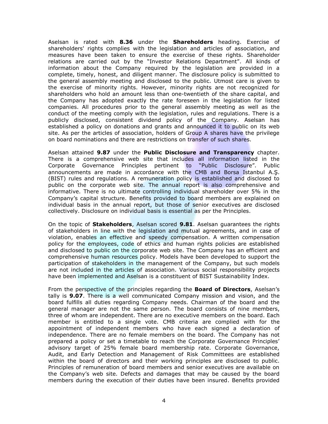Aselsan is rated with **8.36** under the **Shareholders** heading. Exercise of shareholders' rights complies with the legislation and articles of association, and measures have been taken to ensure the exercise of these rights. Shareholder relations are carried out by the "Investor Relations Department". All kinds of information about the Company required by the legislation are provided in a complete, timely, honest, and diligent manner. The disclosure policy is submitted to the general assembly meeting and disclosed to the public. Utmost care is given to the exercise of minority rights. However, minority rights are not recognized for shareholders who hold an amount less than one-twentieth of the share capital, and the Company has adopted exactly the rate foreseen in the legislation for listed companies. All procedures prior to the general assembly meeting as well as the conduct of the meeting comply with the legislation, rules and regulations. There is a publicly disclosed, consistent dividend policy of the Company. Aselsan has established a policy on donations and grants and announced it to public on its web site. As per the articles of association, holders of Group A shares have the privilege on board nominations and there are restrictions on transfer of such shares.

Aselsan attained **9.87** under the **Public Disclosure and Transparency** chapter. There is a comprehensive web site that includes all information listed in the Corporate Governance Principles pertinent to "Public Disclosure". Public announcements are made in accordance with the CMB and Borsa Istanbul A.Ş. (BIST) rules and regulations. A remuneration policy is established and disclosed to public on the corporate web site. The annual report is also comprehensive and informative. There is no ultimate controlling individual shareholder over 5% in the Company's capital structure. Benefits provided to board members are explained on individual basis in the annual report, but those of senior executives are disclosed collectively. Disclosure on individual basis is essential as per the Principles.

On the topic of **Stakeholders**, Aselsan scored **9.81**. Aselsan guarantees the rights of stakeholders in line with the legislation and mutual agreements, and in case of violation, enables an effective and speedy compensation. A written compensation policy for the employees, code of ethics and human rights policies are established and disclosed to public on the corporate web site. The Company has an efficient and comprehensive human resources policy. Models have been developed to support the participation of stakeholders in the management of the Company, but such models are not included in the articles of association. Various social responsibility projects have been implemented and Aselsan is a constituent of BIST Sustainability Index.

From the perspective of the principles regarding the **Board of Directors**, Aselsan's tally is **9.07**. There is a well communicated Company mission and vision, and the board fulfills all duties regarding Company needs. Chairman of the board and the general manager are not the same person. The board consists of nine members, three of whom are independent. There are no executive members on the board. Each member is entitled to a single vote. CMB criteria are complied with for the appointment of independent members who have each signed a declaration of independence. There are no female members on the board. The Company has not prepared a policy or set a timetable to reach the Corporate Governance Principles' advisory target of 25% female board membership rate. Corporate Governance, Audit, and Early Detection and Management of Risk Committees are established within the board of directors and their working principles are disclosed to public. Principles of remuneration of board members and senior executives are available on the Company's web site. Defects and damages that may be caused by the board members during the execution of their duties have been insured. Benefits provided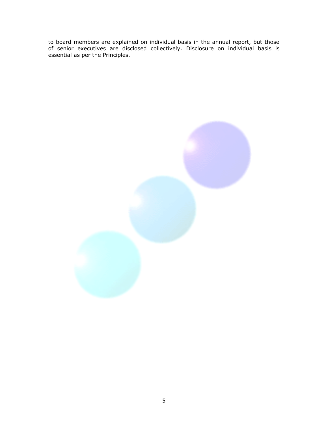to board members are explained on individual basis in the annual report, but those of senior executives are disclosed collectively. Disclosure on individual basis is essential as per the Principles.

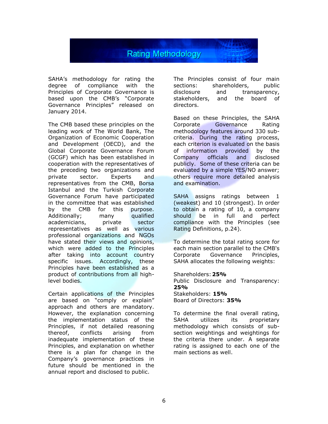

SAHA's methodology for rating the degree of compliance with the Principles of Corporate Governance is based upon the CMB's "Corporate Governance Principles" released on January 2014.

The CMB based these principles on the leading work of The World Bank, The Organization of Economic Cooperation and Development (OECD), and the Global Corporate Governance Forum (GCGF) which has been established in cooperation with the representatives of the preceding two organizations and private sector. Experts and representatives from the CMB, Borsa Istanbul and the Turkish Corporate Governance Forum have participated in the committee that was established by the CMB for this purpose. Additionally; many qualified academicians, private sector representatives as well as various professional organizations and NGOs have stated their views and opinions, which were added to the Principles after taking into account country specific issues. Accordingly, these Principles have been established as a product of contributions from all highlevel bodies.

Certain applications of the Principles are based on "comply or explain" approach and others are mandatory. However, the explanation concerning the implementation status of the Principles, if not detailed reasoning thereof, conflicts arising from inadequate implementation of these Principles, and explanation on whether there is a plan for change in the Company's governance practices in future should be mentioned in the annual report and disclosed to public.

The Principles consist of four main sections: shareholders, public disclosure and transparency, stakeholders, and the board of directors.

Based on these Principles, the SAHA Corporate Governance Rating methodology features around 330 subcriteria. During the rating process, each criterion is evaluated on the basis of information provided by the Company officials and disclosed publicly. Some of these criteria can be evaluated by a simple YES/NO answer; others require more detailed analysis and examination.

SAHA assigns ratings between 1 (weakest) and 10 (strongest). In order to obtain a rating of 10, a company should be in full and perfect compliance with the Principles (see Rating Definitions, p.24).

To determine the total rating score for each main section parallel to the CMB's Corporate Governance Principles, SAHA allocates the following weights:

Shareholders:**25%** Public Disclosure and Transparency: **25%** Stakeholders: **15%** Board of Directors: **35%**

To determine the final overall rating, SAHA utilizes its proprietary methodology which consists of subsection weightings and weightings for the criteria there under. A separate rating is assigned to each one of the main sections as well.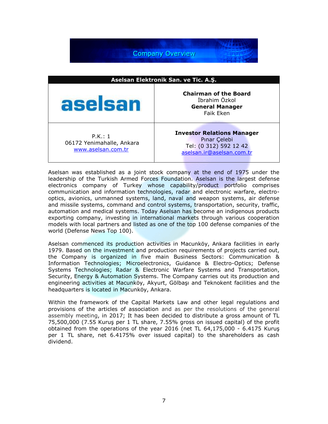**Company Overview** 

| Aselsan Elektronik San. ve Tic. A.Ş.                       |                                                                                                          |  |  |
|------------------------------------------------------------|----------------------------------------------------------------------------------------------------------|--|--|
| aselsan                                                    | <b>Chairman of the Board</b><br>İbrahim Özkol<br><b>General Manager</b><br><b>Faik Eken</b>              |  |  |
| P.K.: 1<br>06172 Yenimahalle, Ankara<br>www.aselsan.com.tr | <b>Investor Relations Manager</b><br>Pinar Çelebi<br>Tel: (0 312) 592 12 42<br>aselsan.ir@aselsan.com.tr |  |  |

Aselsan was established as a joint stock company at the end of 1975 under the leadership of the Turkish Armed Forces Foundation. Aselsan is the largest defense electronics company of Turkey whose capability/product portfolio comprises communication and information technologies, radar and electronic warfare, electrooptics, avionics, unmanned systems, land, naval and weapon systems, air defense and missile systems, command and control systems, transportation, security, traffic, automation and medical systems. Today Aselsan has become an indigenous products exporting company, investing in international markets through various cooperation models with local partners and listed as one of the top 100 defense companies of the world (Defense News Top 100).

Aselsan commenced its production activities in Macunköy, Ankara facilities in early 1979. Based on the investment and production requirements of projects carried out, the Company is organized in five main Business Sectors: Communication & Information Technologies; Microelectronics, Guidance & Electro-Optics; Defense Systems Technologies; Radar & Electronic Warfare Systems and Transportation, Security, Energy & Automation Systems. The Company carries out its production and engineering activities at Macunköy, Akyurt, Gölbaşı and Teknokent facilities and the headquarters is located in Macunköy, Ankara.

Within the framework of the Capital Markets Law and other legal regulations and provisions of the articles of association and as per the resolutions of the general assembly meeting, in 2017; It has been decided to distribute a gross amount of TL 75,500,000 (7.55 Kuruş per 1 TL share, 7.55% gross on issued capital) of the profit obtained from the operations of the year 2016 (net TL 64,175,000 - 6.4175 Kuruş per 1 TL share, net 6.4175% over issued capital) to the shareholders as cash dividend.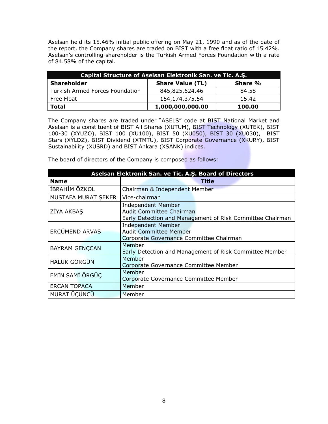Aselsan held its 15.46% initial public offering on May 21, 1990 and as of the date of the report, the Company shares are traded on BIST with a free float ratio of 15.42%. Aselsan's controlling shareholder is the Turkish Armed Forces Foundation with a rate of 84.58% of the capital.

| Capital Structure of Aselsan Elektronik San. ve Tic. A.S. |                         |         |  |  |
|-----------------------------------------------------------|-------------------------|---------|--|--|
| <b>Shareholder</b>                                        | <b>Share Value (TL)</b> | Share % |  |  |
| <b>Turkish Armed Forces Foundation</b>                    | 845,825,624.46          | 84.58   |  |  |
| Free Float                                                | 154,174,375.54          | 15.42   |  |  |
| <b>Total</b>                                              | 1,000,000,000.00        | 100.00  |  |  |

The Company shares are traded under "ASELS" code at BIST National Market and Aselsan is a constituent of BIST All Shares (XUTUM), BIST Technology (XUTEK), BIST 100-30 (XYUZO), BIST 100 (XU100), BIST 50 (XU050), BIST 30 (XU030), BIST Stars (XYLDZ), BIST Dividend (XTMTU), BIST Corporate Governance (XKURY), BIST Sustainability (XUSRD) and BIST Ankara (XSANK) indices.

The board of directors of the Company is composed as follows:

| Aselsan Elektronik San. ve Tic. A.Ş. Board of Directors |                                                                                                                    |  |  |  |
|---------------------------------------------------------|--------------------------------------------------------------------------------------------------------------------|--|--|--|
| <b>Name</b>                                             | Title                                                                                                              |  |  |  |
| <b>İBRAHİM ÖZKOL</b>                                    | Chairman & Independent Member                                                                                      |  |  |  |
| MUSTAFA MURAT SEKER                                     | Vice-chairman                                                                                                      |  |  |  |
| ZİYA AKBAŞ                                              | <b>Independent Member</b><br>Audit Committee Chairman<br>Early Detection and Management of Risk Committee Chairman |  |  |  |
| ERCÜMEND ARVAS                                          | <b>Independent Member</b><br><b>Audit Committee Member</b><br>Corporate Governance Committee Chairman              |  |  |  |
| <b>BAYRAM GENÇCAN</b>                                   | Member<br>Early Detection and Management of Risk Committee Member                                                  |  |  |  |
| <b>HALUK GÖRGÜN</b>                                     | Member<br>Corporate Governance Committee Member                                                                    |  |  |  |
| EMİN SAMİ ÖRGÜÇ                                         | Member<br>Corporate Governance Committee Member                                                                    |  |  |  |
| <b>ERCAN TOPACA</b>                                     | Member                                                                                                             |  |  |  |
| <b>MURAT ÜÇÜNCÜ</b>                                     | Member                                                                                                             |  |  |  |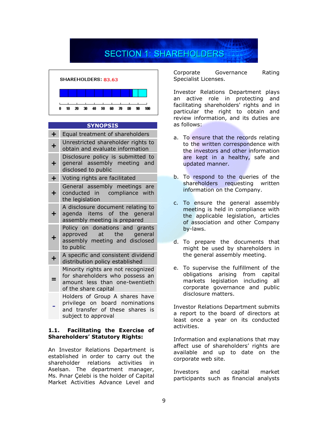# **SECTION 1: SHAREHOLDERS**



#### **SYNOPSIS**

| $\div$     | Equal treatment of shareholders                                                                                                 |
|------------|---------------------------------------------------------------------------------------------------------------------------------|
| $\ddot{}$  | Unrestricted shareholder rights to<br>obtain and evaluate information                                                           |
| $\div$     | Disclosure policy is submitted to<br>general assembly meeting and<br>disclosed to public                                        |
| $\ddagger$ | Voting rights are facilitated                                                                                                   |
| ٠          | General assembly meetings are<br>conducted in compliance with<br>the legislation                                                |
| ┿          | A disclosure document relating to<br>agenda items of the general<br>assembly meeting is prepared                                |
| ╋          | Policy on donations and grants<br>approved<br>at the<br>general<br>assembly meeting and disclosed<br>to public                  |
|            | A specific and consistent dividend<br>distribution policy established                                                           |
|            | Minority rights are not recognized<br>for shareholders who possess an<br>amount less than one-twentieth<br>of the share capital |
|            | Holders of Group A shares have<br>privilege on board nominations<br>and transfer of these shares is<br>subject to approval      |

#### **1.1. Facilitating the Exercise of Shareholders' Statutory Rights:**

An Investor Relations Department is established in order to carry out the shareholder relations activities in Aselsan. The department manager, Ms. Pınar Çelebi is the holder of Capital Market Activities Advance Level and

Corporate Governance Rating Specialist Licenses.

Investor Relations Department plays an active role in protecting and facilitating shareholders' rights and in particular the right to obtain and review information, and its duties are as follows:

- a. To ensure that the records relating to the written correspondence with the investors and other information are kept in a healthy, safe and updated manner.
- b. To respond to the queries of the shareholders requesting written information on the Company.
- c. To ensure the general assembly meeting is held in compliance with the applicable legislation, articles of association and other Company by-laws.
- d. To prepare the documents that might be used by shareholders in the general assembly meeting.
- e. To supervise the fulfillment of the obligations arising from capital markets legislation including all corporate governance and public disclosure matters.

Investor Relations Department submits a report to the board of directors at least once a year on its conducted activities.

Information and explanations that may affect use of shareholders' rights are available and up to date on the corporate web site.

Investors and capital market participants such as financial analysts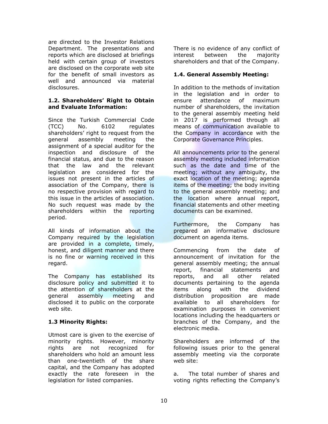are directed to the Investor Relations Department. The presentations and reports which are disclosed at briefings held with certain group of investors are disclosed on the corporate web site for the benefit of small investors as well and announced via material disclosures.

#### **1.2. Shareholders' Right to Obtain and Evaluate Information:**

Since the Turkish Commercial Code (TCC) No. 6102 regulates shareholders' right to request from the general assembly meeting the assignment of a special auditor for the inspection and disclosure of the financial status, and due to the reason that the law and the relevant legislation are considered for the issues not present in the articles of association of the Company, there is no respective provision with regard to this issue in the articles of association. No such request was made by the shareholders within the reporting period.

All kinds of information about the Company required by the legislation are provided in a complete, timely, honest, and diligent manner and there is no fine or warning received in this regard.

The Company has established its disclosure policy and submitted it to the attention of shareholders at the general assembly meeting and disclosed it to public on the corporate web site.

#### **1.3 Minority Rights:**

Utmost care is given to the exercise of minority rights. However, minority rights are not recognized for shareholders who hold an amount less than one-twentieth of the share capital, and the Company has adopted exactly the rate foreseen in the legislation for listed companies.

There is no evidence of any conflict of interest between the majority shareholders and that of the Company.

#### **1.4. General Assembly Meeting:**

In addition to the methods of invitation in the legislation and in order to ensure attendance of maximum number of shareholders, the invitation to the general assembly meeting held in 2017 is performed through all means of communication available to the Company in accordance with the Corporate Governance Principles.

All announcements prior to the general assembly meeting included information such as the date and time of the meeting; without any ambiguity, the exact location of the meeting; agenda items of the meeting; the body inviting to the general assembly meeting; and the location where annual report, financial statements and other meeting documents can be examined.

Furthermore, the Company has prepared an informative disclosure document on agenda items.

Commencing from the date of announcement of invitation for the general assembly meeting; the annual report, financial statements and reports, and all other related documents pertaining to the agenda items along with the dividend distribution proposition are made available to all shareholders for examination purposes in convenient locations including the headquarters or branches of the Company, and the electronic media.

Shareholders are informed of the following issues prior to the general assembly meeting via the corporate web site:

a. The total number of shares and voting rights reflecting the Company's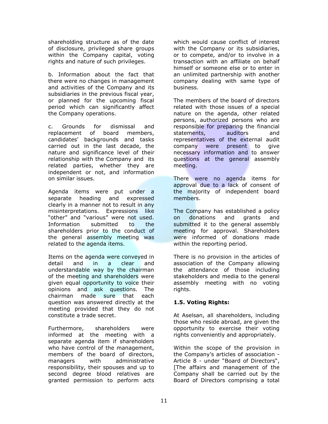shareholding structure as of the date of disclosure, privileged share groups within the Company capital, voting rights and nature of such privileges.

b. Information about the fact that there were no changes in management and activities of the Company and its subsidiaries in the previous fiscal year, or planned for the upcoming fiscal period which can significantly affect the Company operations.

c. Grounds for dismissal and replacement of board members, candidates' backgrounds and tasks carried out in the last decade, the nature and significance level of their relationship with the Company and its related parties, whether they are independent or not, and information on similar issues.

Agenda items were put under a separate heading and expressed clearly in a manner not to result in any misinterpretations. Expressions like "other" and "various" were not used. Information submitted to the shareholders prior to the conduct of the general assembly meeting was related to the agenda items.

Items on the agenda were conveyed in detail and in a clear and understandable way by the chairman of the meeting and shareholders were given equal opportunity to voice their opinions and ask questions. The chairman made sure that each question was answered directly at the meeting provided that they do not constitute a trade secret.

Furthermore, shareholders were informed at the meeting with a separate agenda item if shareholders who have control of the management, members of the board of directors, managers with administrative responsibility, their spouses and up to second degree blood relatives are granted permission to perform acts which would cause conflict of interest with the Company or its subsidiaries, or to compete, and/or to involve in a transaction with an affiliate on behalf himself or someone else or to enter in an unlimited partnership with another company dealing with same type of business.

The members of the board of directors related with those issues of a special nature on the agenda, other related persons, authorized persons who are responsible for preparing the financial statements, auditors and representatives of the external audit company were present to give necessary information and to answer questions at the general assembly meeting.

There were no agenda items for approval due to a lack of consent of the majority of independent board members.

The Company has established a policy on donations and grants and submitted it to the general assembly meeting for approval. Shareholders were informed of donations made within the reporting period.

There is no provision in the articles of association of the Company allowing the attendance of those including stakeholders and media to the general assembly meeting with no voting rights.

#### **1.5. Voting Rights:**

At Aselsan, all shareholders, including those who reside abroad, are given the opportunity to exercise their voting rights conveniently and appropriately.

Within the scope of the provision in the Company's articles of association - Article 8 - under "Board of Directors", [The affairs and management of the Company shall be carried out by the Board of Directors comprising a total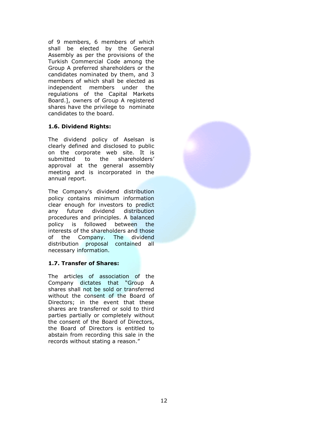of 9 members, 6 members of which shall be elected by the General Assembly as per the provisions of the Turkish Commercial Code among the Group A preferred shareholders or the candidates nominated by them, and 3 members of which shall be elected as independent members under the regulations of the Capital Markets Board.], owners of Group A registered shares have the privilege to nominate candidates to the board.

#### **1.6. Dividend Rights:**

The dividend policy of Aselsan is clearly defined and disclosed to public on the corporate web site. It is submitted to the shareholders' approval at the general assembly meeting and is incorporated in the annual report.

The Company's dividend distribution policy contains minimum information clear enough for investors to predict any future dividend distribution procedures and principles. A balanced policy is followed between the interests of the shareholders and those of the Company. The dividend distribution proposal contained all necessary information.

#### **1.7. Transfer of Shares:**

The articles of association of the Company dictates that "Group A shares shall not be sold or transferred without the consent of the Board of Directors; in the event that these shares are transferred or sold to third parties partially or completely without the consent of the Board of Directors, the Board of Directors is entitled to abstain from recording this sale in the records without stating a reason."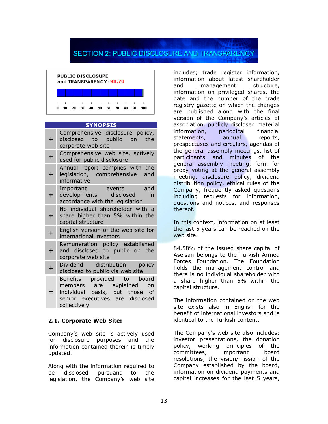## **SECTION 2: PUBLIC DISCLOSURE AND TRANSPARENCY**



#### **SYNOPSIS**

**+** Comprehensive disclosure policy, disclosed to public on the

- corporate web site
- **+** Comprehensive web site, actively used for public disclosure
- **+** Annual report complies with the legislation, comprehensive and informative
- Important events and
- **+** developments disclosed in accordance with the legislation
- **+** No individual shareholder with a share higher than 5% within the
- capital structure
- **+** English version of the web site for international investors
	- Remuneration policy established
- **+** and disclosed to public on the corporate web site
- **+** Dividend distribution policy disclosed to public via web site
- **=** Benefits provided to board members are explained on individual basis, but those of senior executives are disclosed
- collectively

#### **2.1. Corporate Web Site:**

Company's web site is actively used for disclosure purposes and the information contained therein is timely updated.

Along with the information required to be disclosed pursuant to the legislation, the Company's web site

includes; trade register information, information about latest shareholder and management structure, information on privileged shares, the date and the number of the trade registry gazette on which the changes are published along with the final version of the Company's articles of association, publicly disclosed material information, periodical financial statements, annual reports, prospectuses and circulars, agendas of the general assembly meetings, list of participants and minutes of the general assembly meeting, form for proxy voting at the general assembly meeting, disclosure policy, dividend distribution policy, ethical rules of the Company, frequently asked questions including requests for information, questions and notices, and responses thereof.

In this context, information on at least the last 5 years can be reached on the web site.

84.58% of the issued share capital of Aselsan belongs to the Turkish Armed Forces Foundation. The Foundation holds the management control and there is no individual shareholder with a share higher than 5% within the capital structure.

The information contained on the web site exists also in English for the benefit of international investors and is identical to the Turkish content.

The Company's web site also includes; investor presentations, the donation policy, working principles of the committees, important board resolutions, the vision/mission of the Company established by the board, information on dividend payments and capital increases for the last 5 years,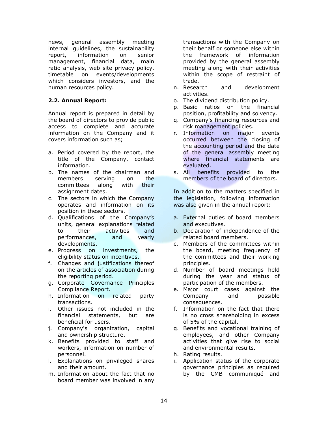news, general assembly meeting internal guidelines, the sustainability report, information on senior management, financial data, main ratio analysis, web site privacy policy, timetable on events/developments which considers investors, and the human resources policy.

#### **2.2. Annual Report:**

Annual report is prepared in detail by the board of directors to provide public access to complete and accurate information on the Company and it covers information such as;

- a. Period covered by the report, the title of the Company, contact information.
- b. The names of the chairman and members serving on the committees along with their assignment dates.
- c. The sectors in which the Company operates and information on its position in these sectors.
- d. Qualifications of the Company's units, general explanations related to their activities and performances, and yearly developments.
- e. Progress on investments, the eligibility status on incentives.
- f. Changes and justifications thereof on the articles of association during the reporting period.
- g. Corporate Governance Principles Compliance Report.
- h. Information on related party transactions.
- i. Other issues not included in the financial statements, but are beneficial for users.
- j. Company's organization, capital and ownership structure.
- k. Benefits provided to staff and workers, information on number of personnel.
- l. Explanations on privileged shares and their amount.
- m. Information about the fact that no board member was involved in any

transactions with the Company on their behalf or someone else within the framework of information provided by the general assembly meeting along with their activities within the scope of restraint of trade.

- n. Research and development activities.
- o. The dividend distribution policy.
- p. Basic ratios on the financial position, profitability and solvency.
- q. Company's financing resources and risk management policies.
- r. Information on major events occurred between the closing of the accounting period and the date of the general assembly meeting where financial statements are evaluated.
- s. All benefits provided to the members of the board of directors.

In addition to the matters specified in the legislation, following information was also given in the annual report:

- a. External duties of board members and executives.
- b. Declaration of independence of the related board members.
- c. Members of the committees within the board, meeting frequency of the committees and their working principles.
- d. Number of board meetings held during the year and status of participation of the members.
- e. Major court cases against the Company and possible consequences.
- f. Information on the fact that there is no cross shareholding in excess of 5% of the capital.
- g. Benefits and vocational training of employees, and other Company activities that give rise to social and environmental results.
- h. Rating results.
- i. Application status of the corporate governance principles as required by the CMB communiqué and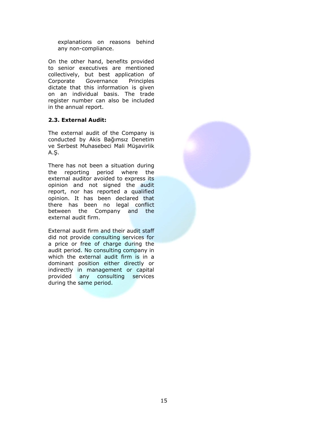explanations on reasons behind any non-compliance.

On the other hand, benefits provided to senior executives are mentioned collectively, but best application of Corporate Governance Principles dictate that this information is given on an individual basis. The trade register number can also be included in the annual report.

#### **2.3. External Audit:**

The external audit of the Company is conducted by Akis Bağımsız Denetim ve Serbest Muhasebeci Mali Müşavirlik A.Ş.

There has not been a situation during the reporting period where the external auditor avoided to express its opinion and not signed the audit report, nor has reported a qualified opinion. It has been declared that there has been no legal conflict between the Company and the external audit firm.

External audit firm and their audit staff did not provide consulting services for a price or free of charge during the audit period. No consulting company in which the external audit firm is in a dominant position either directly or indirectly in management or capital provided any consulting services during the same period.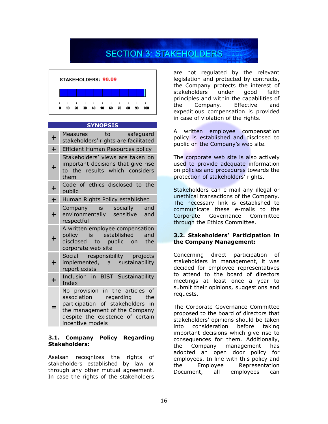# **SECTION 3: STAKEHOLDERS**



#### **SYNOPSIS**

| $\ddagger$ | Measures to safeguard<br>stakeholders' rights are facilitated                                                                                                                             |
|------------|-------------------------------------------------------------------------------------------------------------------------------------------------------------------------------------------|
| $\ddot{}$  | Efficient Human Resources policy                                                                                                                                                          |
| $\ddot{}$  | Stakeholders' views are taken on<br>important decisions that give rise<br>to the results which considers<br>them                                                                          |
| $\ddot{}$  | Code of ethics disclosed to the<br>public                                                                                                                                                 |
| $\ddot{}$  | Human Rights Policy established                                                                                                                                                           |
| $\ddot{}$  | Company is socially and<br>environmentally sensitive and<br>respectful                                                                                                                    |
| ┿          | A written employee compensation<br>policy is established and<br>disclosed to public on the<br>corporate web site                                                                          |
| $\div$     | Social responsibility projects<br>implemented, a sustainability<br>report exists                                                                                                          |
| $\ddot{}$  | Inclusion in BIST Sustainability<br>Index                                                                                                                                                 |
|            | No provision in the articles of<br>association regarding the<br>participation of stakeholders in<br>the management of the Company<br>despite the existence of certain<br>incentive models |

#### **3.1. Company Policy Regarding Stakeholders:**

Aselsan recognizes the rights of stakeholders established by law or through any other mutual agreement. In case the rights of the stakeholders

are not regulated by the relevant legislation and protected by contracts, the Company protects the interest of stakeholders under good faith principles and within the capabilities of the Company. Effective and expeditious compensation is provided in case of violation of the rights.

A written employee compensation policy is established and disclosed to public on the Company's web site.

The corporate web site is also actively used to provide adequate information on policies and procedures towards the protection of stakeholders' rights.

Stakeholders can e-mail any illegal or unethical transactions of the Company. The necessary link is established to communicate these e-mails to the Corporate Governance Committee through the Ethics Committee.

#### **3.2. Stakeholders' Participation in the Company Management:**

Concerning direct participation of stakeholders in management, it was decided for employee representatives to attend to the board of directors meetings at least once a year to submit their opinions, suggestions and requests.

The Corporate Governance Committee proposed to the board of directors that stakeholders' opinions should be taken into consideration before taking important decisions which give rise to consequences for them. Additionally, the Company management has adopted an open door policy for employees. In line with this policy and the Employee Representation Document, all employees can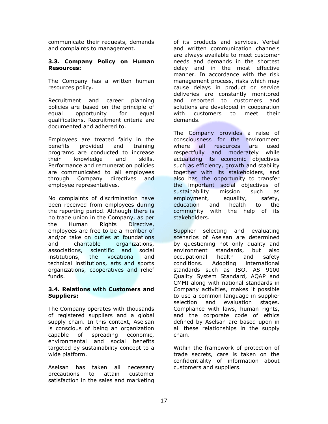communicate their requests, demands and complaints to management.

#### **3.3. Company Policy on Human Resources:**

The Company has a written human resources policy.

Recruitment and career planning policies are based on the principle of equal opportunity for equal qualifications. Recruitment criteria are documented and adhered to.

Employees are treated fairly in the benefits provided and training programs are conducted to increase their knowledge and skills. Performance and remuneration policies are communicated to all employees through Company directives and employee representatives.

No complaints of discrimination have been received from employees during the reporting period. Although there is no trade union in the Company, as per the Human Rights Directive, employees are free to be a member of and/or take on duties at foundations and charitable organizations, associations, scientific and social institutions, the vocational and technical institutions, arts and sports organizations, cooperatives and relief funds.

#### **3.4. Relations with Customers and Suppliers:**

The Company operates with thousands of registered suppliers and a global supply chain. In this context, Aselsan is conscious of being an organization capable of spreading economic, environmental and social benefits targeted by sustainability concept to a wide platform.

Aselsan has taken all necessary precautions to attain customer satisfaction in the sales and marketing of its products and services. Verbal and written communication channels are always available to meet customer needs and demands in the shortest delay and in the most effective manner. In accordance with the risk management process, risks which may cause delays in product or service deliveries are constantly monitored and reported to customers and solutions are developed in cooperation with customers to meet their demands.

The Company provides a raise of consciousness for the environment where all resources are used respectfully and moderately while actualizing its economic objectives such as efficiency, growth and stability together with its stakeholders, and also has the opportunity to transfer the important social objectives of sustainability mission such as employment, equality, safety, education and health to the community with the help of its stakeholders.

Supplier selecting and evaluating scenarios of Aselsan are determined by questioning not only quality and environment standards, but also occupational health and safety conditions. Adopting international standards such as ISO, AS 9100 Quality System Standard, AQAP and CMMI along with national standards in Company activities, makes it possible to use a common language in supplier selection and evaluation stages. Compliance with laws, human rights, and the corporate code of ethics defined by Aselsan are based upon in all these relationships in the supply chain.

Within the framework of protection of trade secrets, care is taken on the confidentiality of information about customers and suppliers.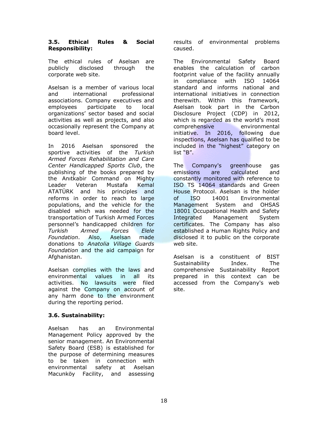#### **3.5. Ethical Rules & Social Responsibility:**

The ethical rules of Aselsan are publicly disclosed through the corporate web site.

Aselsan is a member of various local and international professional associations. Company executives and employees participate to local organizations' sector based and social activities as well as projects, and also occasionally represent the Company at board level.

In 2016 Aselsan sponsored the sportive activities of the *Turkish Armed Forces Rehabilitation and Care Center Handicapped Sports Club*, the publishing of the books prepared by the Anıtkabir Command on Mighty Leader Veteran Mustafa Kemal ATATÜRK and his principles and reforms in order to reach to large populations, and the vehicle for the disabled which was needed for the transportation of Turkish Armed Forces personnel's handicapped children for *Turkish Armed Forces Elele Foundation*. Also, Aselsan made donations to *Anatolia Village Guards Foundation* and the aid campaign for Afghanistan.

Aselsan complies with the laws and environmental values in all its activities. No lawsuits were filed against the Company on account of any harm done to the environment during the reporting period.

#### **3.6. Sustainability:**

Aselsan has an Environmental Management Policy approved by the senior management. An Environmental Safety Board (ESB) is established for the purpose of determining measures to be taken in connection with environmental safety at Aselsan Macunköy Facility, and assessing

results of environmental problems caused.

The Environmental Safety Board enables the calculation of carbon footprint value of the facility annually in compliance with ISO 14064 standard and informs national and international initiatives in connection therewith. Within this framework, Aselsan took part in the Carbon Disclosure Project (CDP) in 2012, which is regarded as the world's most comprehensive environmental initiative. In 2016, following due inspections, Aselsan has qualified to be included in the "highest" category on list "B".

The Company's greenhouse gas emissions are calculated and constantly monitored with reference to ISO TS 14064 standards and Green House Protocol. Aselsan is the holder of ISO 14001 Environmental Management System and OHSAS 18001 Occupational Health and Safety Integrated Management System certificates. The Company has also established a Human Rights Policy and disclosed it to public on the corporate web site.

Aselsan is a constituent of BIST Sustainability Index. The comprehensive Sustainability Report prepared in this context can be accessed from the Company's web site.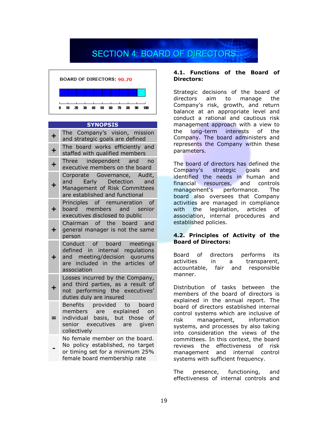## **SECTION 4: BOARD OF DIRECTORS**



#### **SYNOPSIS**

|           | The Company's vision, mission<br>and strategic goals are defined                                                                               |
|-----------|------------------------------------------------------------------------------------------------------------------------------------------------|
| $\ddot{}$ | The board works efficiently and<br>staffed with qualified members                                                                              |
|           | Three independent and no<br>executive members on the board                                                                                     |
| $\ddot{}$ | Corporate Governance, Audit,<br>and Early Detection and<br>Management of Risk Committees<br>are established and functional                     |
| ╋         | Principles of remuneration of<br>board members and senior<br>executives disclosed to public                                                    |
| ┿         | Chairman of the board and<br>general manager is not the same<br>person                                                                         |
|           | Conduct of board meetings<br>defined in internal regulations<br>and meeting/decision quorums<br>are included in the articles of<br>association |
|           | Losses incurred by the Company,<br>and third parties, as a result of<br>not performing the executives'<br>duties duly are insured              |
|           | Benefits provided to board<br>members are explained on<br>individual basis, but those of<br>senior executives are given<br>collectively        |
|           | No female member on the board.<br>No policy established, no target<br>or timing set for a minimum 25%<br>female board membership rate          |

#### **4.1. Functions of the Board of Directors:**

Strategic decisions of the board of directors aim to manage the Company's risk, growth, and return balance at an appropriate level and conduct a rational and cautious risk management approach with a view to the long-term interests of the Company. The board administers and represents the Company within these parameters.

The board of directors has defined the Company's strategic goals and identified the needs in human and financial resources, and controls management's performance. The board also oversees that Company activities are managed in compliance with the legislation, articles of association, internal procedures and established policies.

#### **4.2. Principles of Activity of the Board of Directors:**

Board of directors performs its activities in a transparent, accountable, fair and responsible manner.

Distribution of tasks between the members of the board of directors is explained in the annual report. The board of directors established internal control systems which are inclusive of risk management, information systems, and processes by also taking into consideration the views of the committees. In this context, the board reviews the effectiveness of risk management and internal control systems with sufficient frequency.

The presence, functioning, and effectiveness of internal controls and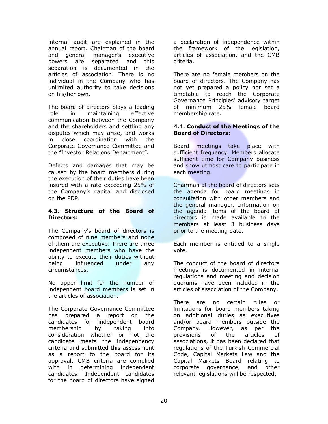internal audit are explained in the annual report. Chairman of the board and general manager's executive powers are separated and this separation is documented in the articles of association. There is no individual in the Company who has unlimited authority to take decisions on his/her own.

The board of directors plays a leading role in maintaining effective communication between the Company and the shareholders and settling any disputes which may arise, and works in close coordination with the Corporate Governance Committee and the "Investor Relations Department".

Defects and damages that may be caused by the board members during the execution of their duties have been insured with a rate exceeding 25% of the Company's capital and disclosed on the PDP.

#### **4.3. Structure of the Board of Directors:**

The Company's board of directors is composed of nine members and none of them are executive. There are three independent members who have the ability to execute their duties without being influenced under any circumstances.

No upper limit for the number of independent board members is set in the articles of association.

The Corporate Governance Committee has prepared a report on the candidates for independent board membership by taking into consideration whether or not the candidate meets the independency criteria and submitted this assessment as a report to the board for its approval. CMB criteria are complied with in determining independent candidates. Independent candidates for the board of directors have signed

a declaration of independence within the framework of the legislation, articles of association, and the CMB criteria.

There are no female members on the board of directors. The Company has not yet prepared a policy nor set a timetable to reach the Corporate Governance Principles' advisory target of minimum 25% female board membership rate.

#### **4.4. Conduct of the Meetings of the Board of Directors:**

Board meetings take place with sufficient frequency. Members allocate sufficient time for Company business and show utmost care to participate in each meeting.

Chairman of the board of directors sets the agenda for board meetings in consultation with other members and the general manager. Information on the agenda items of the board of directors is made available to the members at least 3 business days prior to the meeting date.

Each member is entitled to a single vote.

The conduct of the board of directors meetings is documented in internal regulations and meeting and decision quorums have been included in the articles of association of the Company.

There are no certain rules or limitations for board members taking on additional duties as executives and/or board members outside the Company. However, as per the provisions of the articles of associations, it has been declared that regulations of the Turkish Commercial Code, Capital Markets Law and the Capital Markets Board relating to corporate governance, and other relevant legislations will be respected.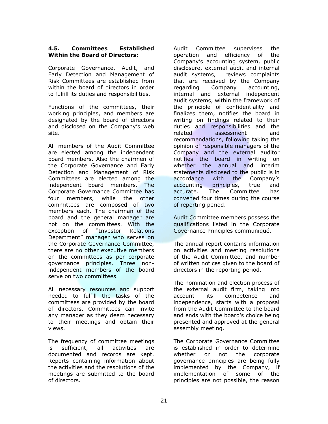#### **4.5. Committees Established Within the Board of Directors:**

Corporate Governance, Audit, and Early Detection and Management of Risk Committees are established from within the board of directors in order to fulfill its duties and responsibilities.

Functions of the committees, their working principles, and members are designated by the board of directors and disclosed on the Company's web site.

All members of the Audit Committee are elected among the independent board members. Also the chairmen of the Corporate Governance and Early Detection and Management of Risk Committees are elected among the independent board members. The Corporate Governance Committee has four members, while the other committees are composed of two members each. The chairman of the board and the general manager are not on the committees. With the exception of "Investor Relations Department" manager who serves on the Corporate Governance Committee, there are no other executive members on the committees as per corporate governance principles. Three nonindependent members of the board serve on two committees.

All necessary resources and support needed to fulfill the tasks of the committees are provided by the board of directors. Committees can invite any manager as they deem necessary to their meetings and obtain their views.

The frequency of committee meetings is sufficient, all activities are documented and records are kept. Reports containing information about the activities and the resolutions of the meetings are submitted to the board of directors.

Audit Committee supervises the operation and efficiency of the Company's accounting system, public disclosure, external audit and internal audit systems, reviews complaints that are received by the Company regarding Company accounting, internal and external independent audit systems, within the framework of the principle of confidentiality and finalizes them, notifies the board in writing on findings related to their duties and responsibilities and the related assessment and recommendations, following taking the opinion of responsible managers of the Company and the external auditor notifies the board in writing on whether the annual and interim statements disclosed to the public is in accordance with the Company's accounting principles, true and accurate. The Committee has convened four times during the course of reporting period.

Audit Committee members possess the qualifications listed in the Corporate Governance Principles communiqué.

The annual report contains information on activities and meeting resolutions of the Audit Committee, and number of written notices given to the board of directors in the reporting period.

The nomination and election process of the external audit firm, taking into account its competence and independence, starts with a proposal from the Audit Committee to the board and ends with the board's choice being presented and approved at the general assembly meeting.

The Corporate Governance Committee is established in order to determine whether or not the corporate governance principles are being fully implemented by the Company, if implementation of some of the principles are not possible, the reason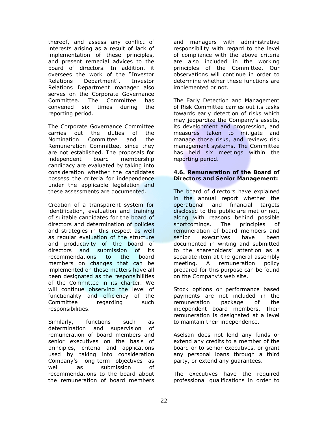thereof, and assess any conflict of interests arising as a result of lack of implementation of these principles, and present remedial advices to the board of directors. In addition, it oversees the work of the "Investor Relations Department". Investor Relations Department manager also serves on the Corporate Governance Committee. The Committee has convened six times during the reporting period.

The Corporate Governance Committee carries out the duties of the Nomination Committee and the Remuneration Committee, since they are not established. The proposals for independent board membership candidacy are evaluated by taking into consideration whether the candidates possess the criteria for independence under the applicable legislation and these assessments are documented.

Creation of a transparent system for identification, evaluation and training of suitable candidates for the board of directors and determination of policies and strategies in this respect as well as regular evaluation of the structure and productivity of the board of directors and submission of its recommendations to the board members on changes that can be implemented on these matters have all been designated as the responsibilities of the Committee in its charter. We will continue observing the level of functionality and efficiency of the Committee regarding such responsibilities.

Similarly, functions such as determination and supervision of remuneration of board members and senior executives on the basis of principles, criteria and applications used by taking into consideration Company's long-term objectives as well as submission of recommendations to the board about the remuneration of board members

and managers with administrative responsibility with regard to the level of compliance with the above criteria are also included in the working principles of the Committee. Our observations will continue in order to determine whether these functions are implemented or not.

The Early Detection and Management of Risk Committee carries out its tasks towards early detection of risks which may jeopardize the Company's assets, its development and progression, and measures taken to mitigate and manage those risks, and reviews risk management systems. The Committee has held six meetings within the reporting period.

#### **4.6. Remuneration of the Board of Directors and Senior Management:**

The board of directors have explained in the annual report whether the operational and financial targets disclosed to the public are met or not, along with reasons behind possible shortcomings. The principles of remuneration of board members and senior executives have been documented in writing and submitted to the shareholders' attention as a separate item at the general assembly meeting. A remuneration policy prepared for this purpose can be found on the Company's web site.

Stock options or performance based payments are not included in the remuneration package of the independent board members. Their remuneration is designated at a level to maintain their independence.

Aselsan does not lend any funds or extend any credits to a member of the board or to senior executives, or grant any personal loans through a third party, or extend any guarantees.

The executives have the required professional qualifications in order to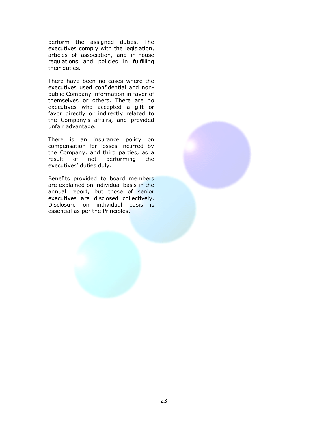perform the assigned duties. The executives comply with the legislation, articles of association, and in-house regulations and policies in fulfilling their duties.

There have been no cases where the executives used confidential and nonpublic Company information in favor of themselves or others. There are no executives who accepted a gift or favor directly or indirectly related to the Company's affairs, and provided unfair advantage.

There is an insurance policy on compensation for losses incurred by the Company, and third parties, as a result of not performing the executives' duties duly.

Benefits provided to board members are explained on individual basis in the annual report, but those of senior executives are disclosed collectively. Disclosure on individual basis is essential as per the Principles.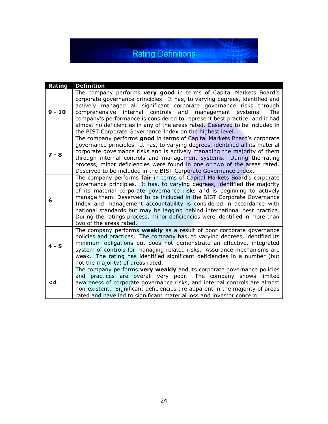**Rating Definitions** 

家生學

| Rating   | <b>Definition</b>                                                                                                                                                                                                                                                                                                                                                                                                                                                                                                                                                        |
|----------|--------------------------------------------------------------------------------------------------------------------------------------------------------------------------------------------------------------------------------------------------------------------------------------------------------------------------------------------------------------------------------------------------------------------------------------------------------------------------------------------------------------------------------------------------------------------------|
| $9 - 10$ | The company performs very good in terms of Capital Markets Board's<br>corporate governance principles. It has, to varying degrees, identified and<br>actively managed all significant corporate governance risks through<br>comprehensive internal controls and<br>management systems.<br>The<br>company's performance is considered to represent best practice, and it had<br>almost no deficiencies in any of the areas rated. Deserved to be included in<br>the BIST Corporate Governance Index on the highest level.                                                 |
| $7 - 8$  | The company performs good in terms of Capital Markets Board's corporate<br>governance principles. It has, to varying degrees, identified all its material<br>corporate governance risks and is actively managing the majority of them<br>through internal controls and management systems. During the rating<br>process, minor deficiencies were found in one or two of the areas rated.<br>Deserved to be included in the BIST Corporate Governance Index.                                                                                                              |
| 6        | The company performs fair in terms of Capital Markets Board's corporate<br>governance principles. It has, to varying degrees, identified the majority<br>of its material corporate governance risks and is beginning to actively<br>manage them. Deserved to be included in the BIST Corporate Governance<br>Index and management accountability is considered in accordance with<br>national standards but may be lagging behind international best practice.<br>During the ratings process, minor deficiencies were identified in more than<br>two of the areas rated. |
| $4 - 5$  | The company performs weakly as a result of poor corporate governance<br>policies and practices. The company has, to varying degrees, identified its<br>minimum obligations but does not demonstrate an effective, integrated<br>system of controls for managing related risks. Assurance mechanisms are<br>weak. The rating has identified significant deficiencies in a number (but<br>not the majority) of areas rated.                                                                                                                                                |
| <4       | The company performs very weakly and its corporate governance policies<br>and practices are overall very poor. The company shows limited<br>awareness of corporate governance risks, and internal controls are almost<br>non-existent. Significant deficiencies are apparent in the majority of areas<br>rated and have led to significant material loss and investor concern.                                                                                                                                                                                           |